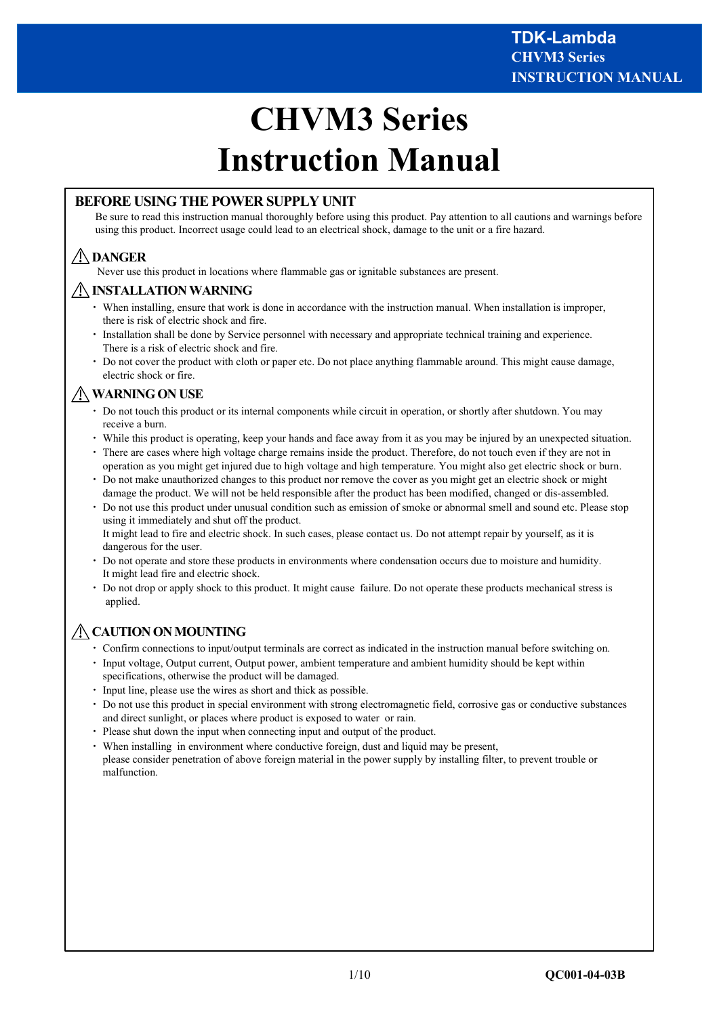# **CHVM3 Series Instruction Manual**

### **BEFORE USING THE POWER SUPPLY UNIT**

Be sure to read this instruction manual thoroughly before using this product. Pay attention to all cautions and warnings before using this product. Incorrect usage could lead to an electrical shock, damage to the unit or a fire hazard.

# **DANGER**

Never use this product in locations where flammable gas or ignitable substances are present.

#### **INSTALLATION WARNING**

- ・ When installing, ensure that work is done in accordance with the instruction manual. When installation is improper, there is risk of electric shock and fire.
- ・ Installation shall be done by Service personnel with necessary and appropriate technical training and experience. There is a risk of electric shock and fire.
- ・ Do not cover the product with cloth or paper etc. Do not place anything flammable around. This might cause damage, electric shock or fire.

# **WARNING ON USE**

- ・ Do not touch this product or its internal components while circuit in operation, or shortly after shutdown. You may receive a burn.
- ・ While this product is operating, keep your hands and face away from it as you may be injured by an unexpected situation.
- ・ There are cases where high voltage charge remains inside the product. Therefore, do not touch even if they are not in operation as you might get injured due to high voltage and high temperature. You might also get electric shock or burn.
- ・ Do not make unauthorized changes to this product nor remove the cover as you might get an electric shock or might damage the product. We will not be held responsible after the product has been modified, changed or dis-assembled.
- ・ Do not use this product under unusual condition such as emission of smoke or abnormal smell and sound etc. Please stop using it immediately and shut off the product. It might lead to fire and electric shock. In such cases, please contact us. Do not attempt repair by yourself, as it is dangerous for the user.
- ・ Do not operate and store these products in environments where condensation occurs due to moisture and humidity. It might lead fire and electric shock.
- ・ Do not drop or apply shock to this product. It might cause failure. Do not operate these products mechanical stress is applied.

# **CAUTION ON MOUNTING**

- ・ Confirm connections to input/output terminals are correct as indicated in the instruction manual before switching on.
- Input voltage, Output current, Output power, ambient temperature and ambient humidity should be kept within specifications, otherwise the product will be damaged.
- Input line, please use the wires as short and thick as possible.
- ・ Do not use this product in special environment with strong electromagnetic field, corrosive gas or conductive substances and direct sunlight, or places where product is exposed to water or rain.
- ・ Please shut down the input when connecting input and output of the product.
- ・ When installing in environment where conductive foreign, dust and liquid may be present, please consider penetration of above foreign material in the power supply by installing filter, to prevent trouble or malfunction.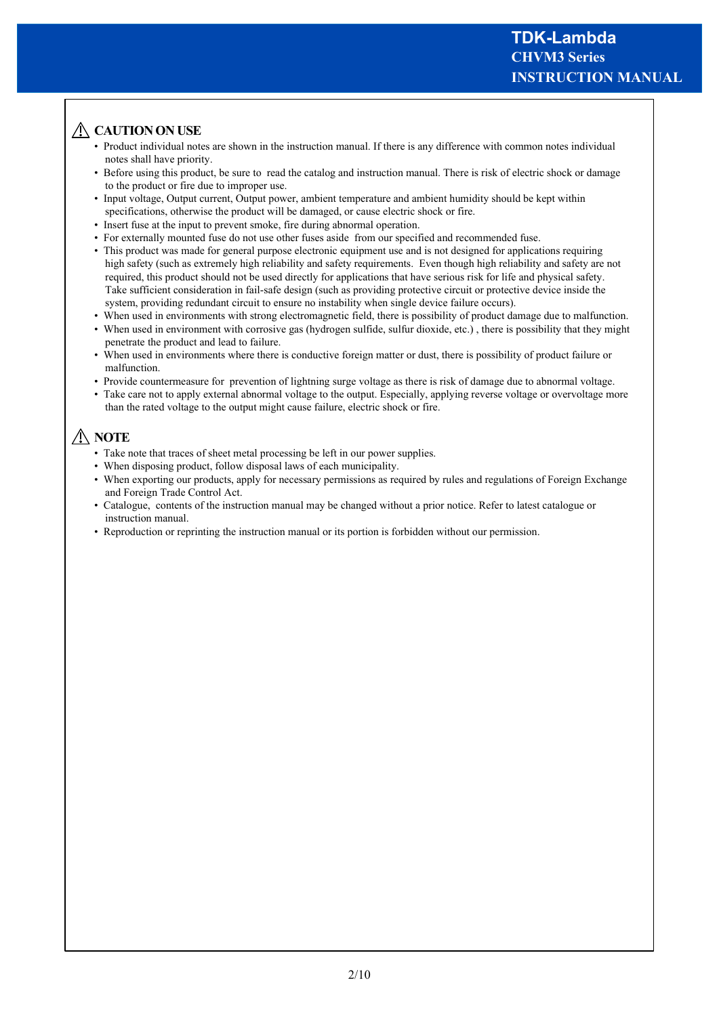# **ACAUTION ON USE**

- Product individual notes are shown in the instruction manual. If there is any difference with common notes individual notes shall have priority.
- Before using this product, be sure to read the catalog and instruction manual. There is risk of electric shock or damage to the product or fire due to improper use.
- Input voltage, Output current, Output power, ambient temperature and ambient humidity should be kept within specifications, otherwise the product will be damaged, or cause electric shock or fire.
- Insert fuse at the input to prevent smoke, fire during abnormal operation.
- For externally mounted fuse do not use other fuses aside from our specified and recommended fuse.
- This product was made for general purpose electronic equipment use and is not designed for applications requiring high safety (such as extremely high reliability and safety requirements. Even though high reliability and safety are not required, this product should not be used directly for applications that have serious risk for life and physical safety. Take sufficient consideration in fail-safe design (such as providing protective circuit or protective device inside the system, providing redundant circuit to ensure no instability when single device failure occurs).
- When used in environments with strong electromagnetic field, there is possibility of product damage due to malfunction.
- When used in environment with corrosive gas (hydrogen sulfide, sulfur dioxide, etc.), there is possibility that they might penetrate the product and lead to failure.
- When used in environments where there is conductive foreign matter or dust, there is possibility of product failure or malfunction.
- Provide countermeasure for prevention of lightning surge voltage as there is risk of damage due to abnormal voltage.
- Take care not to apply external abnormal voltage to the output. Especially, applying reverse voltage or overvoltage more than the rated voltage to the output might cause failure, electric shock or fire.

# **NOTE**

- Take note that traces of sheet metal processing be left in our power supplies.
- When disposing product, follow disposal laws of each municipality.
- When exporting our products, apply for necessary permissions as required by rules and regulations of Foreign Exchange and Foreign Trade Control Act.
- Catalogue, contents of the instruction manual may be changed without a prior notice. Refer to latest catalogue or instruction manual.
- Reproduction or reprinting the instruction manual or its portion is forbidden without our permission.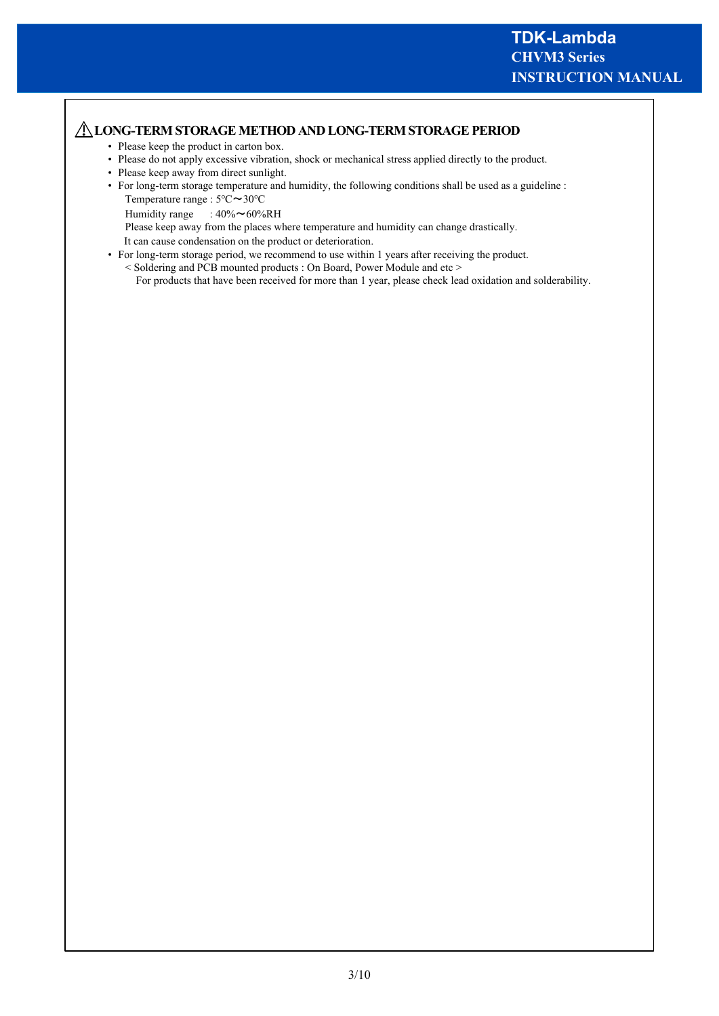## **LONG-TERM STORAGE METHOD AND LONG-TERM STORAGE PERIOD**

- Please keep the product in carton box.
- Please do not apply excessive vibration, shock or mechanical stress applied directly to the product.
- Please keep away from direct sunlight.
- For long-term storage temperature and humidity, the following conditions shall be used as a guideline : Temperature range : 5℃~30℃
	- Humidity range :  $40\% \sim 60\% \text{RH}$

Please keep away from the places where temperature and humidity can change drastically.

It can cause condensation on the product or deterioration.

- For long-term storage period, we recommend to use within 1 years after receiving the product.
	- < Soldering and PCB mounted products : On Board, Power Module and etc > For products that have been received for more than 1 year, please check lead oxidation and solderability.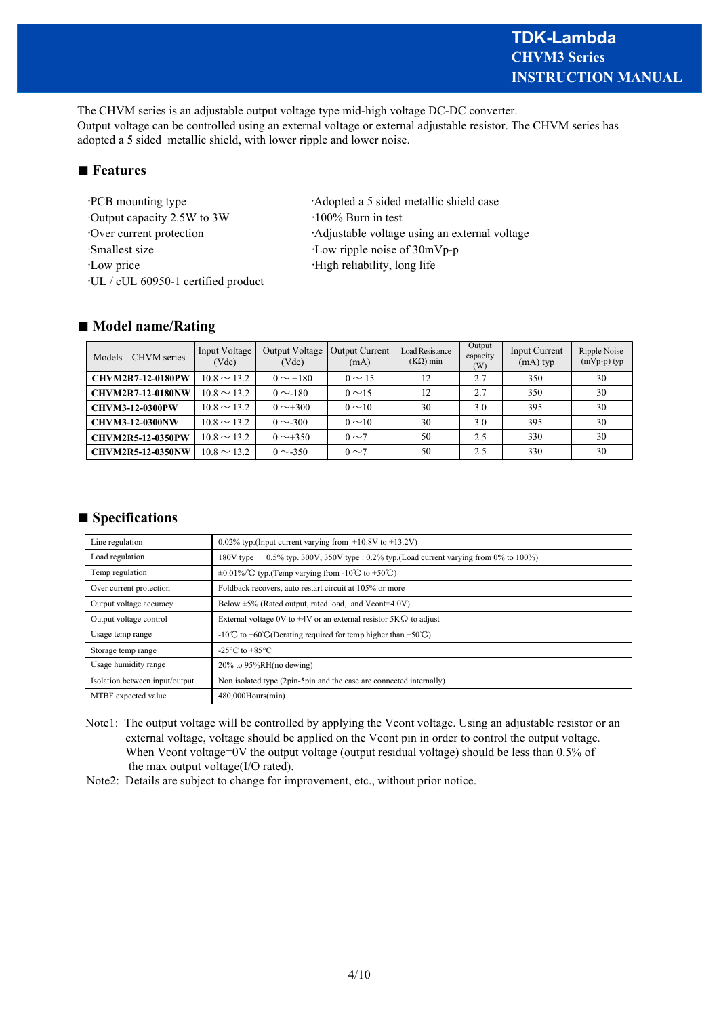The CHVM series is an adjustable output voltage type mid-high voltage DC-DC converter. Output voltage can be controlled using an external voltage or external adjustable resistor. The CHVM series has adopted a 5 sided metallic shield, with lower ripple and lower noise.

# ■ **Features**

•Output capacity 2.5W to 3W •100% Burn in test •Smallest size •Low ripple noise of 30mVp-p •Low price •High reliability, long life •UL / cUL 60950-1 certified product

•PCB mounting type **Adopted a 5** sided metallic shield case •Over current protection •Adjustable voltage using an external voltage

#### ■ **Model name/Rating**

| <b>CHVM</b> series<br>Models | Input Voltage<br>(Vdc) | Output Voltage<br>(Vdc) | <b>Output Current</b><br>(mA) | <b>Load Resistance</b><br>$(K\Omega)$ min | Output<br>capacity<br>(W) | Input Current<br>$(mA)$ typ | Ripple Noise<br>$(mVp-p)$ typ |
|------------------------------|------------------------|-------------------------|-------------------------------|-------------------------------------------|---------------------------|-----------------------------|-------------------------------|
| <b>CHVM2R7-12-0180PW</b>     | $10.8 \sim 13.2$       | $0 \sim +180$           | $0 \sim 15$                   | 12                                        | 2.7                       | 350                         | 30                            |
| <b>CHVM2R7-12-0180NW</b>     | $10.8 \sim 13.2$       | $0 \sim 180$            | $0 \sim 15$                   | 12                                        | 2.7                       | 350                         | 30                            |
| <b>CHVM3-12-0300PW</b>       | $10.8 \sim 13.2$       | $0 \sim 300$            | $0 \sim 10$                   | 30                                        | 3.0                       | 395                         | 30                            |
| <b>CHVM3-12-0300NW</b>       | $10.8 \sim 13.2$       | $0 \sim 300$            | $0 \sim 10$                   | 30                                        | 3.0                       | 395                         | 30                            |
| <b>CHVM2R5-12-0350PW</b>     | $10.8 \sim 13.2$       | $0 \sim +350$           | $0 \sim 7$                    | 50                                        | 2.5                       | 330                         | 30                            |
| <b>CHVM2R5-12-0350NW</b>     | $10.8 \sim 13.2$       | $0 \sim 350$            | $0 \sim 7$                    | 50                                        | 2.5                       | 330                         | 30                            |

# ■ **Specifications**

| Line regulation                | 0.02% typ. (Input current varying from $+10.8V$ to $+13.2V$ )                               |
|--------------------------------|---------------------------------------------------------------------------------------------|
| Load regulation                | 180V type : $0.5\%$ typ. 300V, 350V type : 0.2% typ. (Load current varying from 0% to 100%) |
| Temp regulation                | $\pm 0.01\%$ C typ. (Temp varying from -10°C to +50°C)                                      |
| Over current protection        | Foldback recovers, auto restart circuit at 105% or more                                     |
| Output voltage accuracy        | Below $\pm 5\%$ (Rated output, rated load, and Vcont=4.0V)                                  |
| Output voltage control         | External voltage 0V to +4V or an external resistor $5K\Omega$ to adjust                     |
| Usage temp range               | $-10^{\circ}$ C to +60 $\circ$ C(Derating required for temp higher than +50 $\circ$ C)      |
| Storage temp range             | -25 $\mathrm{^{\circ}C}$ to +85 $\mathrm{^{\circ}C}$                                        |
| Usage humidity range           | $20\%$ to 95%RH(no dewing)                                                                  |
| Isolation between input/output | Non isolated type (2pin-5pin and the case are connected internally)                         |
| MTBF expected value            | $480,000$ Hours $(min)$                                                                     |

Note1: The output voltage will be controlled by applying the Vcont voltage. Using an adjustable resistor or an external voltage, voltage should be applied on the Vcont pin in order to control the output voltage. When Vcont voltage=0V the output voltage (output residual voltage) should be less than 0.5% of the max output voltage(I/O rated).

Note2: Details are subject to change for improvement, etc., without prior notice.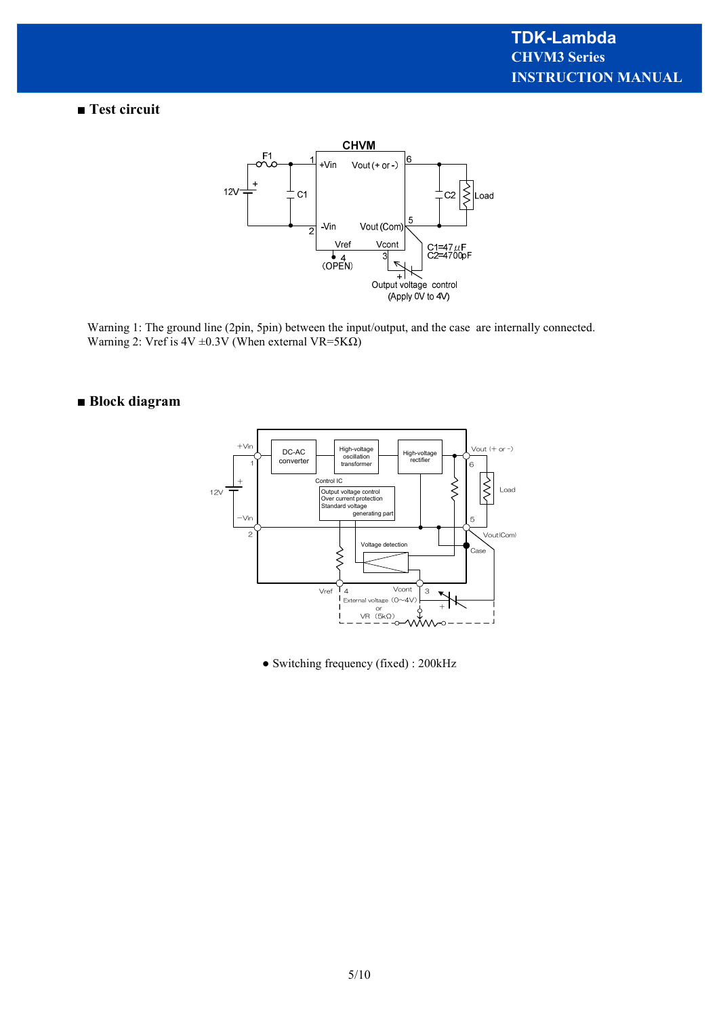# ■ Test circuit



Warning 1: The ground line (2pin, 5pin) between the input/output, and the case are internally connected. Warning 2: Vref is  $4V \pm 0.3V$  (When external VR=5K $\Omega$ )

# **■ Block diagram**



● Switching frequency (fixed) : 200kHz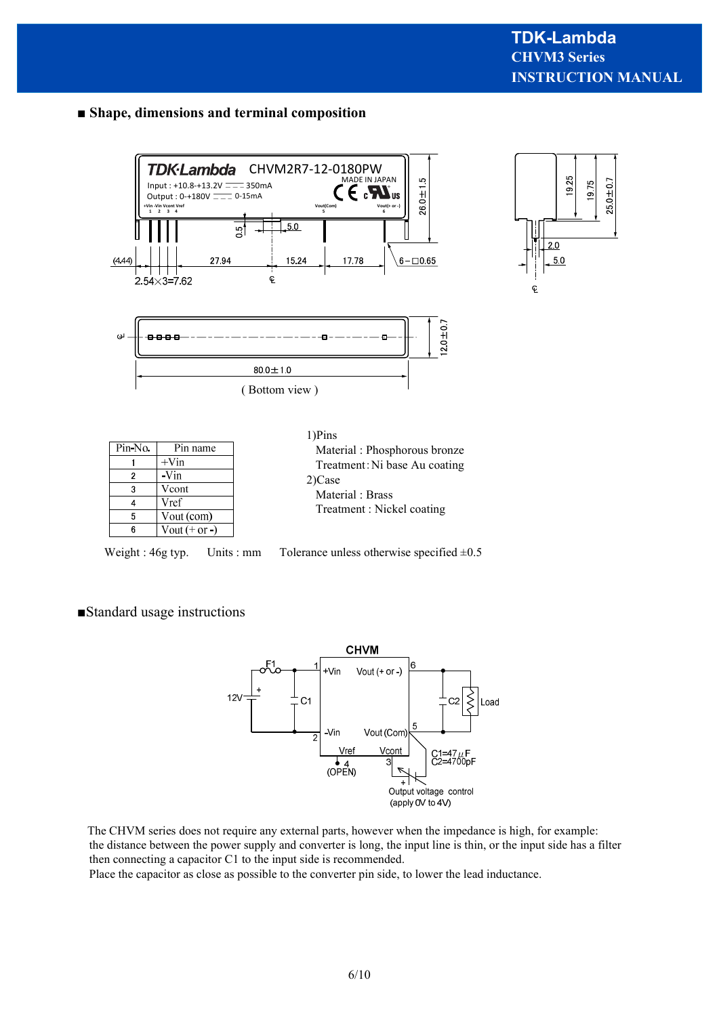#### ■ **Shape, dimensions and terminal composition**





| Pin-No. | Pin name        |
|---------|-----------------|
|         | $+V$ in         |
| 2       | -Vin            |
| 3       | Vcont           |
|         | Vref            |
| 5       | Vout (com)      |
|         | Vout $(+ or -)$ |



Weight : 46g typ. Units : mm Tolerance unless otherwise specified  $\pm 0.5$ 

#### ■Standard usage instructions



The CHVM series does not require any external parts, however when the impedance is high, for example: the distance between the power supply and converter is long, the input line is thin, or the input side has a filter then connecting a capacitor C1 to the input side is recommended.

Place the capacitor as close as possible to the converter pin side, to lower the lead inductance.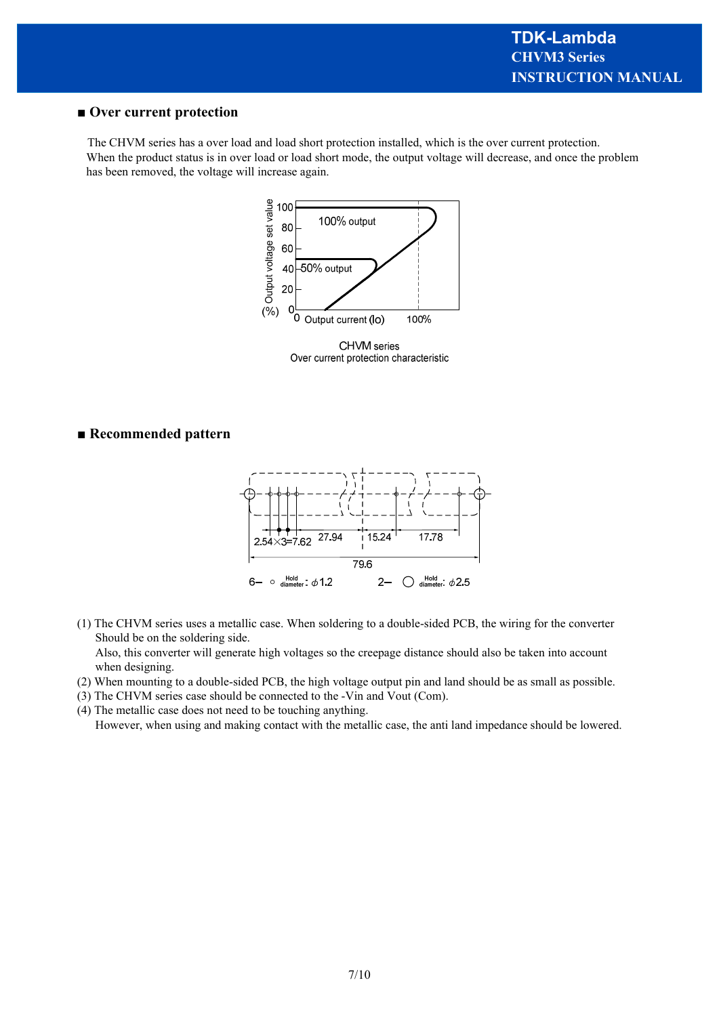#### **■ Over current protection**

The CHVM series has a over load and load short protection installed, which is the over current protection. When the product status is in over load or load short mode, the output voltage will decrease, and once the problem has been removed, the voltage will increase again.



Over current protection characteristic

#### **■ Recommended pattern**



(1) The CHVM series uses a metallic case. When soldering to a double-sided PCB, the wiring for the converter Should be on the soldering side.

 Also, this converter will generate high voltages so the creepage distance should also be taken into account when designing.

(2) When mounting to a double-sided PCB, the high voltage output pin and land should be as small as possible.

(3) The CHVM series case should be connected to the -Vin and Vout (Com).

(4) The metallic case does not need to be touching anything. However, when using and making contact with the metallic case, the anti land impedance should be lowered.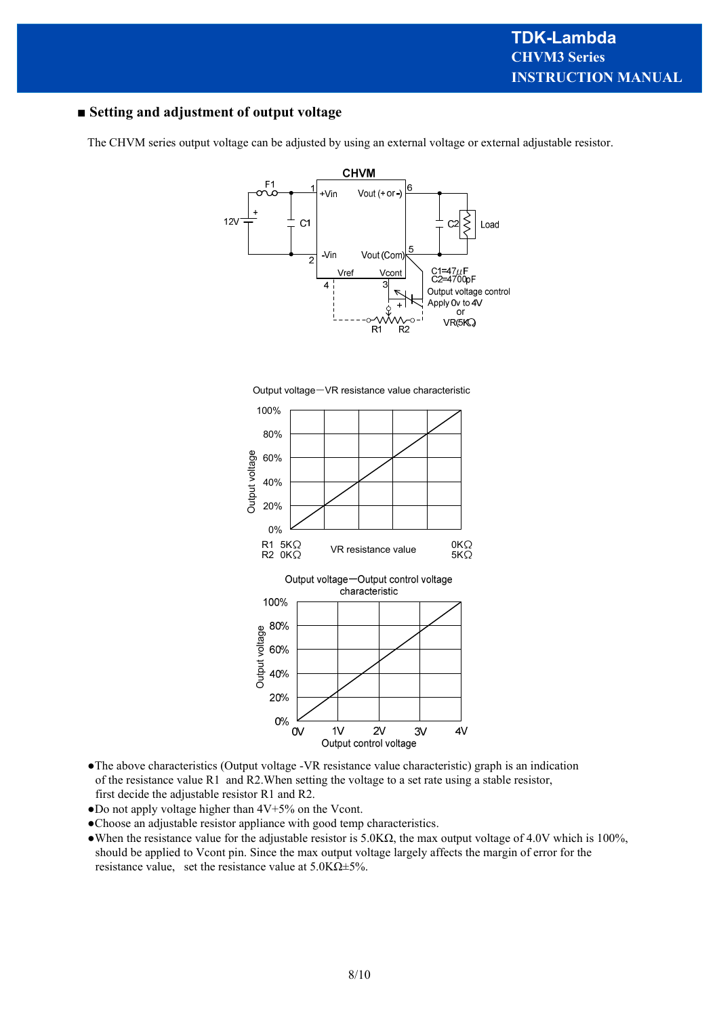#### **■ Setting and adjustment of output voltage**

The CHVM series output voltage can be adjusted by using an external voltage or external adjustable resistor.







- ●The above characteristics (Output voltage -VR resistance value characteristic) graph is an indication of the resistance value R1 and R2.When setting the voltage to a set rate using a stable resistor, first decide the adjustable resistor R1 and R2.
- $\bullet$  Do not apply voltage higher than  $4V+5%$  on the Vcont.
- ●Choose an adjustable resistor appliance with good temp characteristics.
- •When the resistance value for the adjustable resistor is  $5.0K\Omega$ , the max output voltage of 4.0V which is 100%, should be applied to Vcont pin. Since the max output voltage largely affects the margin of error for the resistance value, set the resistance value at  $5.0K\Omega \pm 5\%$ .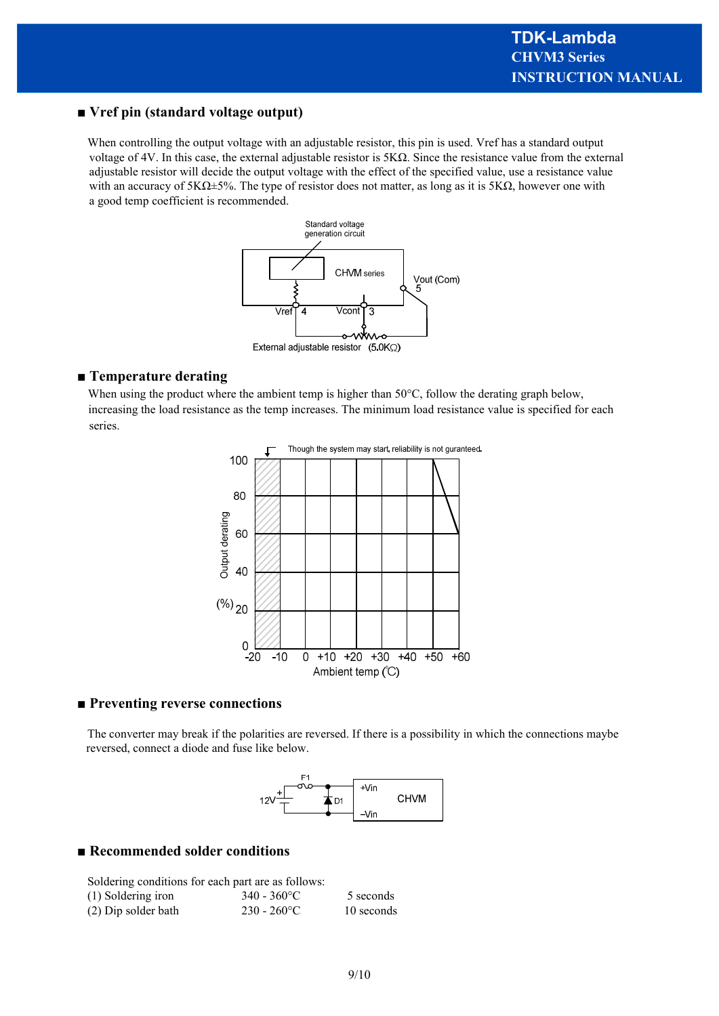#### **■ Vref pin (standard voltage output)**

When controlling the output voltage with an adjustable resistor, this pin is used. Vref has a standard output voltage of 4V. In this case, the external adjustable resistor is 5KΩ. Since the resistance value from the external adjustable resistor will decide the output voltage with the effect of the specified value, use a resistance value with an accuracy of  $5K\Omega$ ±5%. The type of resistor does not matter, as long as it is  $5K\Omega$ , however one with a good temp coefficient is recommended.



#### **■ Temperature derating**

When using the product where the ambient temp is higher than 50°C, follow the derating graph below, increasing the load resistance as the temp increases. The minimum load resistance value is specified for each series.



#### ■ Preventing reverse connections

The converter may break if the polarities are reversed. If there is a possibility in which the connections maybe reversed, connect a diode and fuse like below.



#### **■ Recommended solder conditions**

| Soldering conditions for each part are as follows: |                |            |  |  |  |  |
|----------------------------------------------------|----------------|------------|--|--|--|--|
| (1) Soldering iron                                 | $340 - 360$ °C | 5 seconds  |  |  |  |  |
| (2) Dip solder bath                                | $230 - 260$ °C | 10 seconds |  |  |  |  |